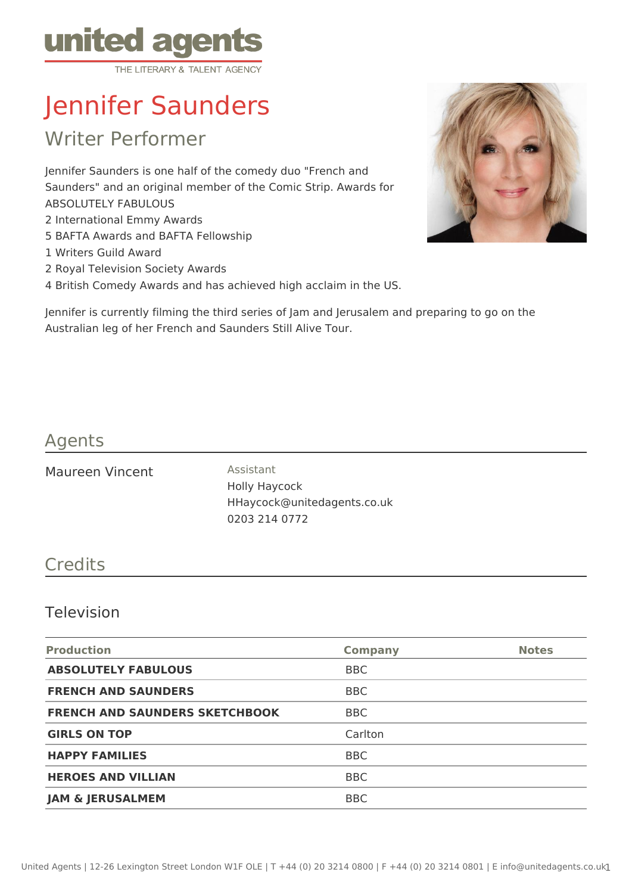

# Jennifer Saunders

Writer Performer

Jennifer Saunders is one half of the comedy duo "French and Saunders" and an original member of the Comic Strip. Awards for ABSOLUTELY FABULOUS 2 International Emmy Awards 5 BAFTA Awards and BAFTA Fellowship

- 1 Writers Guild Award
- 2 Royal Television Society Awards

4 British Comedy Awards and has achieved high acclaim in the US.



Jennifer is currently filming the third series of Jam and Jerusalem and preparing to go on the Australian leg of her French and Saunders Still Alive Tour.

## Agents

Maureen Vincent Assistant

Holly Haycock HHaycock@unitedagents.co.uk 0203 214 0772

### **Credits**

#### Television

| <b>Production</b>                     | <b>Company</b> | <b>Notes</b> |
|---------------------------------------|----------------|--------------|
| <b>ABSOLUTELY FABULOUS</b>            | <b>BBC</b>     |              |
| <b>FRENCH AND SAUNDERS</b>            | <b>BBC</b>     |              |
| <b>FRENCH AND SAUNDERS SKETCHBOOK</b> | <b>BBC</b>     |              |
| <b>GIRLS ON TOP</b>                   | Carlton        |              |
| <b>HAPPY FAMILIES</b>                 | <b>BBC</b>     |              |
| <b>HEROES AND VILLIAN</b>             | <b>BBC</b>     |              |
| <b>JAM &amp; JERUSALMEM</b>           | <b>BBC</b>     |              |